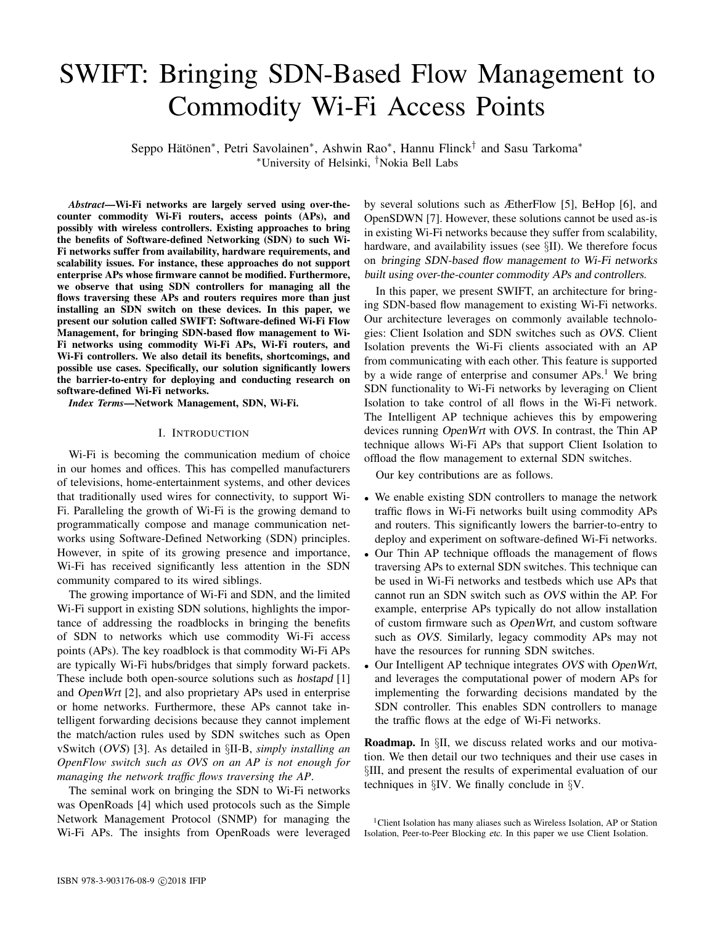# SWIFT: Bringing SDN-Based Flow Management to Commodity Wi-Fi Access Points

Seppo Hätönen\*, Petri Savolainen\*, Ashwin Rao\*, Hannu Flinck<sup>†</sup> and Sasu Tarkoma\* <sup>∗</sup>University of Helsinki, †Nokia Bell Labs

*Abstract*—Wi-Fi networks are largely served using over-thecounter commodity Wi-Fi routers, access points (APs), and possibly with wireless controllers. Existing approaches to bring the benefits of Software-defined Networking (SDN) to such Wi-Fi networks suffer from availability, hardware requirements, and scalability issues. For instance, these approaches do not support enterprise APs whose firmware cannot be modified. Furthermore, we observe that using SDN controllers for managing all the flows traversing these APs and routers requires more than just installing an SDN switch on these devices. In this paper, we present our solution called SWIFT: Software-defined Wi-Fi Flow Management, for bringing SDN-based flow management to Wi-Fi networks using commodity Wi-Fi APs, Wi-Fi routers, and Wi-Fi controllers. We also detail its benefits, shortcomings, and possible use cases. Specifically, our solution significantly lowers the barrier-to-entry for deploying and conducting research on software-defined Wi-Fi networks.

*Index Terms*—Network Management, SDN, Wi-Fi.

#### I. INTRODUCTION

Wi-Fi is becoming the communication medium of choice in our homes and offices. This has compelled manufacturers of televisions, home-entertainment systems, and other devices that traditionally used wires for connectivity, to support Wi-Fi. Paralleling the growth of Wi-Fi is the growing demand to programmatically compose and manage communication networks using Software-Defined Networking (SDN) principles. However, in spite of its growing presence and importance, Wi-Fi has received significantly less attention in the SDN community compared to its wired siblings.

The growing importance of Wi-Fi and SDN, and the limited Wi-Fi support in existing SDN solutions, highlights the importance of addressing the roadblocks in bringing the benefits of SDN to networks which use commodity Wi-Fi access points (APs). The key roadblock is that commodity Wi-Fi APs are typically Wi-Fi hubs/bridges that simply forward packets. These include both open-source solutions such as hostapd [1] and OpenWrt [2], and also proprietary APs used in enterprise or home networks. Furthermore, these APs cannot take intelligent forwarding decisions because they cannot implement the match/action rules used by SDN switches such as Open vSwitch (OVS) [3]. As detailed in §II-B, *simply installing an OpenFlow switch such as OVS on an AP is not enough for managing the network traffic flows traversing the AP*.

The seminal work on bringing the SDN to Wi-Fi networks was OpenRoads [4] which used protocols such as the Simple Network Management Protocol (SNMP) for managing the Wi-Fi APs. The insights from OpenRoads were leveraged by several solutions such as ÆtherFlow [5], BeHop [6], and OpenSDWN [7]. However, these solutions cannot be used as-is in existing Wi-Fi networks because they suffer from scalability, hardware, and availability issues (see §II). We therefore focus on bringing SDN-based flow management to Wi-Fi networks built using over-the-counter commodity APs and controllers.

In this paper, we present SWIFT, an architecture for bringing SDN-based flow management to existing Wi-Fi networks. Our architecture leverages on commonly available technologies: Client Isolation and SDN switches such as OVS. Client Isolation prevents the Wi-Fi clients associated with an AP from communicating with each other. This feature is supported by a wide range of enterprise and consumer  $APs<sup>1</sup>$ . We bring SDN functionality to Wi-Fi networks by leveraging on Client Isolation to take control of all flows in the Wi-Fi network. The Intelligent AP technique achieves this by empowering devices running OpenWrt with OVS. In contrast, the Thin AP technique allows Wi-Fi APs that support Client Isolation to offload the flow management to external SDN switches.

Our key contributions are as follows.

- We enable existing SDN controllers to manage the network traffic flows in Wi-Fi networks built using commodity APs and routers. This significantly lowers the barrier-to-entry to deploy and experiment on software-defined Wi-Fi networks.
- Our Thin AP technique offloads the management of flows traversing APs to external SDN switches. This technique can be used in Wi-Fi networks and testbeds which use APs that cannot run an SDN switch such as OVS within the AP. For example, enterprise APs typically do not allow installation of custom firmware such as OpenWrt, and custom software such as OVS. Similarly, legacy commodity APs may not have the resources for running SDN switches.
- Our Intelligent AP technique integrates OVS with OpenWrt, and leverages the computational power of modern APs for implementing the forwarding decisions mandated by the SDN controller. This enables SDN controllers to manage the traffic flows at the edge of Wi-Fi networks.

Roadmap. In §II, we discuss related works and our motivation. We then detail our two techniques and their use cases in §III, and present the results of experimental evaluation of our techniques in §IV. We finally conclude in §V.

<sup>1</sup>Client Isolation has many aliases such as Wireless Isolation, AP or Station Isolation, Peer-to-Peer Blocking etc. In this paper we use Client Isolation.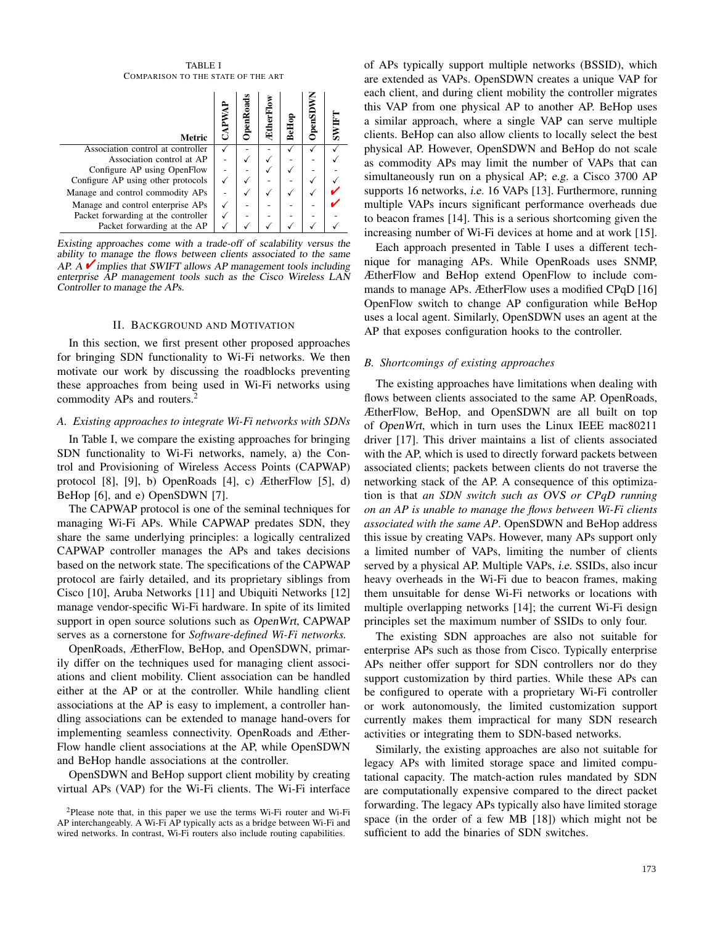TABLE I COMPARISON TO THE STATE OF THE ART

| <b>Metric</b>                       | $\epsilon$ m $\rm{Ro}$ a | <b>EtherFI</b> | BeHoj | OpenSD | $\overline{\text{SWIF}}$ |
|-------------------------------------|--------------------------|----------------|-------|--------|--------------------------|
| Association control at controller   |                          |                |       |        |                          |
| Association control at AP           |                          |                |       |        |                          |
| Configure AP using OpenFlow         |                          |                |       |        |                          |
| Configure AP using other protocols  |                          |                |       |        |                          |
| Manage and control commodity APs    |                          |                |       |        |                          |
| Manage and control enterprise APs   |                          |                |       |        |                          |
| Packet forwarding at the controller |                          |                |       |        |                          |
| Packet forwarding at the AP         |                          |                |       |        |                          |

Existing approaches come with a trade-off of scalability versus the ability to manage the flows between clients associated to the same AP. A  $\checkmark$  implies that SWIFT allows AP management tools including enterprise AP management tools such as the Cisco Wireless LAN Controller to manage the APs.

### II. BACKGROUND AND MOTIVATION

In this section, we first present other proposed approaches for bringing SDN functionality to Wi-Fi networks. We then motivate our work by discussing the roadblocks preventing these approaches from being used in Wi-Fi networks using commodity APs and routers.<sup>2</sup>

## *A. Existing approaches to integrate Wi-Fi networks with SDNs*

In Table I, we compare the existing approaches for bringing SDN functionality to Wi-Fi networks, namely, a) the Control and Provisioning of Wireless Access Points (CAPWAP) protocol [8], [9], b) OpenRoads [4], c) ÆtherFlow [5], d) BeHop [6], and e) OpenSDWN [7].

The CAPWAP protocol is one of the seminal techniques for managing Wi-Fi APs. While CAPWAP predates SDN, they share the same underlying principles: a logically centralized CAPWAP controller manages the APs and takes decisions based on the network state. The specifications of the CAPWAP protocol are fairly detailed, and its proprietary siblings from Cisco [10], Aruba Networks [11] and Ubiquiti Networks [12] manage vendor-specific Wi-Fi hardware. In spite of its limited support in open source solutions such as OpenWrt, CAPWAP serves as a cornerstone for *Software-defined Wi-Fi networks.*

OpenRoads, ÆtherFlow, BeHop, and OpenSDWN, primarily differ on the techniques used for managing client associations and client mobility. Client association can be handled either at the AP or at the controller. While handling client associations at the AP is easy to implement, a controller handling associations can be extended to manage hand-overs for implementing seamless connectivity. OpenRoads and Æther-Flow handle client associations at the AP, while OpenSDWN and BeHop handle associations at the controller.

OpenSDWN and BeHop support client mobility by creating virtual APs (VAP) for the Wi-Fi clients. The Wi-Fi interface of APs typically support multiple networks (BSSID), which are extended as VAPs. OpenSDWN creates a unique VAP for each client, and during client mobility the controller migrates this VAP from one physical AP to another AP. BeHop uses a similar approach, where a single VAP can serve multiple clients. BeHop can also allow clients to locally select the best physical AP. However, OpenSDWN and BeHop do not scale as commodity APs may limit the number of VAPs that can simultaneously run on a physical AP; e.g. a Cisco 3700 AP supports 16 networks, *i.e.* 16 VAPs [13]. Furthermore, running multiple VAPs incurs significant performance overheads due to beacon frames [14]. This is a serious shortcoming given the increasing number of Wi-Fi devices at home and at work [15].

Each approach presented in Table I uses a different technique for managing APs. While OpenRoads uses SNMP, ÆtherFlow and BeHop extend OpenFlow to include commands to manage APs. ÆtherFlow uses a modified CPqD [16] OpenFlow switch to change AP configuration while BeHop uses a local agent. Similarly, OpenSDWN uses an agent at the AP that exposes configuration hooks to the controller.

#### *B. Shortcomings of existing approaches*

The existing approaches have limitations when dealing with flows between clients associated to the same AP. OpenRoads, ÆtherFlow, BeHop, and OpenSDWN are all built on top of OpenWrt, which in turn uses the Linux IEEE mac80211 driver [17]. This driver maintains a list of clients associated with the AP, which is used to directly forward packets between associated clients; packets between clients do not traverse the networking stack of the AP. A consequence of this optimization is that *an SDN switch such as* OVS *or CPqD running on an AP is unable to manage the flows between Wi-Fi clients associated with the same AP*. OpenSDWN and BeHop address this issue by creating VAPs. However, many APs support only a limited number of VAPs, limiting the number of clients served by a physical AP. Multiple VAPs, i.e. SSIDs, also incur heavy overheads in the Wi-Fi due to beacon frames, making them unsuitable for dense Wi-Fi networks or locations with multiple overlapping networks [14]; the current Wi-Fi design principles set the maximum number of SSIDs to only four.

The existing SDN approaches are also not suitable for enterprise APs such as those from Cisco. Typically enterprise APs neither offer support for SDN controllers nor do they support customization by third parties. While these APs can be configured to operate with a proprietary Wi-Fi controller or work autonomously, the limited customization support currently makes them impractical for many SDN research activities or integrating them to SDN-based networks.

Similarly, the existing approaches are also not suitable for legacy APs with limited storage space and limited computational capacity. The match-action rules mandated by SDN are computationally expensive compared to the direct packet forwarding. The legacy APs typically also have limited storage space (in the order of a few MB [18]) which might not be sufficient to add the binaries of SDN switches.

<sup>2</sup>Please note that, in this paper we use the terms Wi-Fi router and Wi-Fi AP interchangeably. A Wi-Fi AP typically acts as a bridge between Wi-Fi and wired networks. In contrast, Wi-Fi routers also include routing capabilities.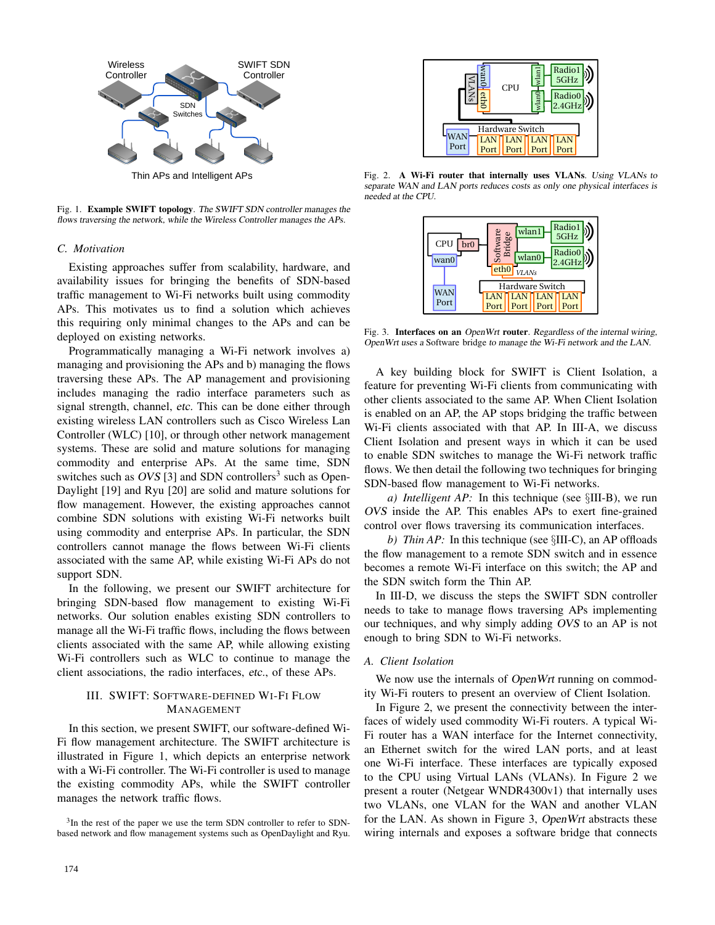

Thin APs and Intelligent APs

Fig. 1. Example SWIFT topology. The SWIFT SDN controller manages the flows traversing the network, while the Wireless Controller manages the APs.

## *C. Motivation*

Existing approaches suffer from scalability, hardware, and availability issues for bringing the benefits of SDN-based traffic management to Wi-Fi networks built using commodity APs. This motivates us to find a solution which achieves this requiring only minimal changes to the APs and can be deployed on existing networks.

Programmatically managing a Wi-Fi network involves a) managing and provisioning the APs and b) managing the flows traversing these APs. The AP management and provisioning includes managing the radio interface parameters such as signal strength, channel, etc. This can be done either through existing wireless LAN controllers such as Cisco Wireless Lan Controller (WLC) [10], or through other network management systems. These are solid and mature solutions for managing commodity and enterprise APs. At the same time, SDN switches such as OVS [3] and SDN controllers<sup>3</sup> such as Open-Daylight [19] and Ryu [20] are solid and mature solutions for flow management. However, the existing approaches cannot combine SDN solutions with existing Wi-Fi networks built using commodity and enterprise APs. In particular, the SDN controllers cannot manage the flows between Wi-Fi clients associated with the same AP, while existing Wi-Fi APs do not support SDN. Fig. 1. Example SWITE The system and the system and the system and the system and the system and the system and the system and the system and the system and the system and the system and the system and the system and the

In the following, we present our SWIFT architecture for bringing SDN-based flow management to existing Wi-Fi networks. Our solution enables existing SDN controllers to manage all the Wi-Fi traffic flows, including the flows between clients associated with the same AP, while allowing existing Wi-Fi controllers such as WLC to continue to manage the client associations, the radio interfaces, etc., of these APs.

# III. SWIFT: SOFTWARE-DEFINED WI-FI FLOW MANAGEMENT

In this section, we present SWIFT, our software-defined Wi-Fi flow management architecture. The SWIFT architecture is illustrated in Figure 1, which depicts an enterprise network with a Wi-Fi controller. The Wi-Fi controller is used to manage the existing commodity APs, while the SWIFT controller manages the network traffic flows.

<sup>3</sup>In the rest of the paper we use the term SDN controller to refer to SDN-



Fig. 2. A Wi-Fi router that internally uses VLANs. Using VLANs to separate WAN and LAN ports reduces costs as only one physical interfaces is needed at the CPU.



Fig. 3. Interfaces on an OpenWrt router. Regardless of the internal wiring, OpenWrt uses a Software bridge to manage the Wi-Fi network and the LAN.

A key building block for SWIFT is Client Isolation, a feature for preventing Wi-Fi clients from communicating with other clients associated to the same AP. When Client Isolation is enabled on an AP, the AP stops bridging the traffic between Wi-Fi clients associated with that AP. In III-A, we discuss Client Isolation and present ways in which it can be used to enable SDN switches to manage the Wi-Fi network traffic flows. We then detail the following two techniques for bringing SDN-based flow management to Wi-Fi networks.

*a) Intelligent AP:* In this technique (see §III-B), we run OVS inside the AP. This enables APs to exert fine-grained control over flows traversing its communication interfaces.

*b)* Thin AP: In this technique (see  $\S$ III-C), an AP offloads the flow management to a remote SDN switch and in essence becomes a remote Wi-Fi interface on this switch; the AP and the SDN switch form the Thin AP.

In III-D, we discuss the steps the SWIFT SDN controller needs to take to manage flows traversing APs implementing our techniques, and why simply adding OVS to an AP is not enough to bring SDN to Wi-Fi networks.

#### *A. Client Isolation*

We now use the internals of OpenWrt running on commodity Wi-Fi routers to present an overview of Client Isolation.

In Figure 2, we present the connectivity between the interfaces of widely used commodity Wi-Fi routers. A typical Wi-Fi router has a WAN interface for the Internet connectivity, an Ethernet switch for the wired LAN ports, and at least one Wi-Fi interface. These interfaces are typically exposed to the CPU using Virtual LANs (VLANs). In Figure 2 we present a router (Netgear WNDR4300v1) that internally uses two VLANs, one VLAN for the WAN and another VLAN for the LAN. As shown in Figure 3, OpenWrt abstracts these wiring internals and exposes a software bridge that connects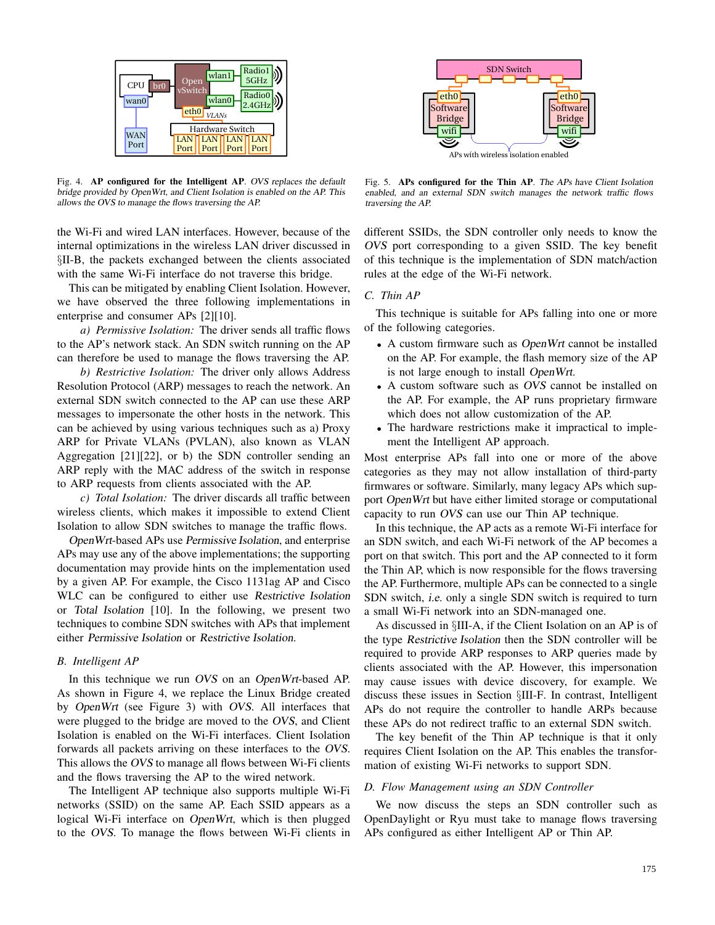

Fig. 4. AP configured for the Intelligent AP. OVS replaces the default bridge provided by OpenWrt, and Client Isolation is enabled on the AP. This allows the OVS to manage the flows traversing the AP.

the Wi-Fi and wired LAN interfaces. However, because of the internal optimizations in the wireless LAN driver discussed in §II-B, the packets exchanged between the clients associated with the same Wi-Fi interface do not traverse this bridge.

This can be mitigated by enabling Client Isolation. However, we have observed the three following implementations in enterprise and consumer APs [2][10].

*a) Permissive Isolation:* The driver sends all traffic flows to the AP's network stack. An SDN switch running on the AP can therefore be used to manage the flows traversing the AP.

*b) Restrictive Isolation:* The driver only allows Address Resolution Protocol (ARP) messages to reach the network. An external SDN switch connected to the AP can use these ARP messages to impersonate the other hosts in the network. This can be achieved by using various techniques such as a) Proxy ARP for Private VLANs (PVLAN), also known as VLAN Aggregation [21][22], or b) the SDN controller sending an ARP reply with the MAC address of the switch in response to ARP requests from clients associated with the AP.

*c) Total Isolation:* The driver discards all traffic between wireless clients, which makes it impossible to extend Client Isolation to allow SDN switches to manage the traffic flows.

OpenWrt-based APs use Permissive Isolation, and enterprise APs may use any of the above implementations; the supporting documentation may provide hints on the implementation used by a given AP. For example, the Cisco 1131ag AP and Cisco WLC can be configured to either use Restrictive Isolation or Total Isolation [10]. In the following, we present two techniques to combine SDN switches with APs that implement either Permissive Isolation or Restrictive Isolation.

## *B. Intelligent AP*

In this technique we run OVS on an OpenWrt-based AP. As shown in Figure 4, we replace the Linux Bridge created by OpenWrt (see Figure 3) with OVS. All interfaces that were plugged to the bridge are moved to the OVS, and Client Isolation is enabled on the Wi-Fi interfaces. Client Isolation forwards all packets arriving on these interfaces to the OVS. This allows the OVS to manage all flows between Wi-Fi clients and the flows traversing the AP to the wired network.

The Intelligent AP technique also supports multiple Wi-Fi networks (SSID) on the same AP. Each SSID appears as a logical Wi-Fi interface on OpenWrt, which is then plugged to the OVS. To manage the flows between Wi-Fi clients in



Fig. 5. APs configured for the Thin AP. The APs have Client Isolation enabled, and an external SDN switch manages the network traffic flows traversing the AP.

different SSIDs, the SDN controller only needs to know the OVS port corresponding to a given SSID. The key benefit of this technique is the implementation of SDN match/action rules at the edge of the Wi-Fi network.

# *C. Thin AP*

This technique is suitable for APs falling into one or more of the following categories.

- A custom firmware such as *OpenWrt* cannot be installed on the AP. For example, the flash memory size of the AP is not large enough to install OpenWrt.
- A custom software such as OVS cannot be installed on the AP. For example, the AP runs proprietary firmware which does not allow customization of the AP.
- The hardware restrictions make it impractical to implement the Intelligent AP approach.

Most enterprise APs fall into one or more of the above categories as they may not allow installation of third-party firmwares or software. Similarly, many legacy APs which support OpenWrt but have either limited storage or computational capacity to run OVS can use our Thin AP technique.

In this technique, the AP acts as a remote Wi-Fi interface for an SDN switch, and each Wi-Fi network of the AP becomes a port on that switch. This port and the AP connected to it form the Thin AP, which is now responsible for the flows traversing the AP. Furthermore, multiple APs can be connected to a single SDN switch, i.e. only a single SDN switch is required to turn a small Wi-Fi network into an SDN-managed one.

As discussed in §III-A, if the Client Isolation on an AP is of the type Restrictive Isolation then the SDN controller will be required to provide ARP responses to ARP queries made by clients associated with the AP. However, this impersonation may cause issues with device discovery, for example. We discuss these issues in Section §III-F. In contrast, Intelligent APs do not require the controller to handle ARPs because these APs do not redirect traffic to an external SDN switch.

The key benefit of the Thin AP technique is that it only requires Client Isolation on the AP. This enables the transformation of existing Wi-Fi networks to support SDN.

#### *D. Flow Management using an SDN Controller*

We now discuss the steps an SDN controller such as OpenDaylight or Ryu must take to manage flows traversing APs configured as either Intelligent AP or Thin AP.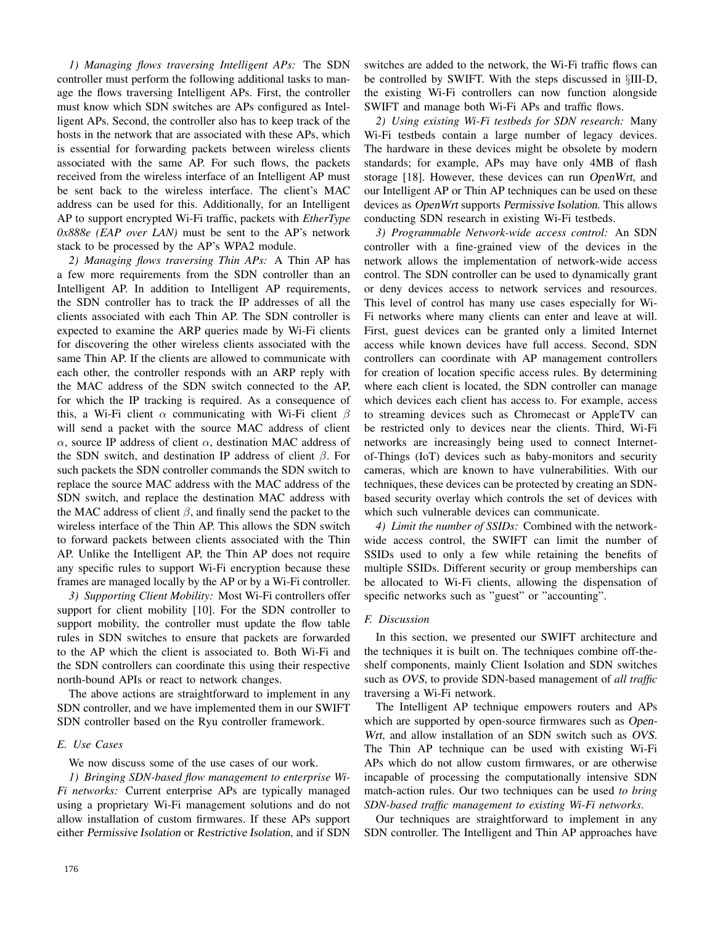*1) Managing flows traversing Intelligent APs:* The SDN controller must perform the following additional tasks to manage the flows traversing Intelligent APs. First, the controller must know which SDN switches are APs configured as Intelligent APs. Second, the controller also has to keep track of the hosts in the network that are associated with these APs, which is essential for forwarding packets between wireless clients associated with the same AP. For such flows, the packets received from the wireless interface of an Intelligent AP must be sent back to the wireless interface. The client's MAC address can be used for this. Additionally, for an Intelligent AP to support encrypted Wi-Fi traffic, packets with *EtherType 0x888e (EAP over LAN)* must be sent to the AP's network stack to be processed by the AP's WPA2 module.

*2) Managing flows traversing Thin APs:* A Thin AP has a few more requirements from the SDN controller than an Intelligent AP. In addition to Intelligent AP requirements, the SDN controller has to track the IP addresses of all the clients associated with each Thin AP. The SDN controller is expected to examine the ARP queries made by Wi-Fi clients for discovering the other wireless clients associated with the same Thin AP. If the clients are allowed to communicate with each other, the controller responds with an ARP reply with the MAC address of the SDN switch connected to the AP, for which the IP tracking is required. As a consequence of this, a Wi-Fi client  $\alpha$  communicating with Wi-Fi client  $\beta$ will send a packet with the source MAC address of client  $\alpha$ , source IP address of client  $\alpha$ , destination MAC address of the SDN switch, and destination IP address of client  $\beta$ . For such packets the SDN controller commands the SDN switch to replace the source MAC address with the MAC address of the SDN switch, and replace the destination MAC address with the MAC address of client  $\beta$ , and finally send the packet to the wireless interface of the Thin AP. This allows the SDN switch to forward packets between clients associated with the Thin AP. Unlike the Intelligent AP, the Thin AP does not require any specific rules to support Wi-Fi encryption because these frames are managed locally by the AP or by a Wi-Fi controller.

*3) Supporting Client Mobility:* Most Wi-Fi controllers offer support for client mobility [10]. For the SDN controller to support mobility, the controller must update the flow table rules in SDN switches to ensure that packets are forwarded to the AP which the client is associated to. Both Wi-Fi and the SDN controllers can coordinate this using their respective north-bound APIs or react to network changes.

The above actions are straightforward to implement in any SDN controller, and we have implemented them in our SWIFT SDN controller based on the Ryu controller framework.

## *E. Use Cases*

We now discuss some of the use cases of our work.

*1) Bringing SDN-based flow management to enterprise Wi-Fi networks:* Current enterprise APs are typically managed using a proprietary Wi-Fi management solutions and do not allow installation of custom firmwares. If these APs support either Permissive Isolation or Restrictive Isolation, and if SDN switches are added to the network, the Wi-Fi traffic flows can be controlled by SWIFT. With the steps discussed in §III-D, the existing Wi-Fi controllers can now function alongside SWIFT and manage both Wi-Fi APs and traffic flows.

*2) Using existing Wi-Fi testbeds for SDN research:* Many Wi-Fi testbeds contain a large number of legacy devices. The hardware in these devices might be obsolete by modern standards; for example, APs may have only 4MB of flash storage [18]. However, these devices can run OpenWrt, and our Intelligent AP or Thin AP techniques can be used on these devices as OpenWrt supports Permissive Isolation. This allows conducting SDN research in existing Wi-Fi testbeds.

*3) Programmable Network-wide access control:* An SDN controller with a fine-grained view of the devices in the network allows the implementation of network-wide access control. The SDN controller can be used to dynamically grant or deny devices access to network services and resources. This level of control has many use cases especially for Wi-Fi networks where many clients can enter and leave at will. First, guest devices can be granted only a limited Internet access while known devices have full access. Second, SDN controllers can coordinate with AP management controllers for creation of location specific access rules. By determining where each client is located, the SDN controller can manage which devices each client has access to. For example, access to streaming devices such as Chromecast or AppleTV can be restricted only to devices near the clients. Third, Wi-Fi networks are increasingly being used to connect Internetof-Things (IoT) devices such as baby-monitors and security cameras, which are known to have vulnerabilities. With our techniques, these devices can be protected by creating an SDNbased security overlay which controls the set of devices with which such vulnerable devices can communicate.

*4) Limit the number of SSIDs:* Combined with the networkwide access control, the SWIFT can limit the number of SSIDs used to only a few while retaining the benefits of multiple SSIDs. Different security or group memberships can be allocated to Wi-Fi clients, allowing the dispensation of specific networks such as "guest" or "accounting".

## *F. Discussion*

In this section, we presented our SWIFT architecture and the techniques it is built on. The techniques combine off-theshelf components, mainly Client Isolation and SDN switches such as OVS, to provide SDN-based management of *all traffic* traversing a Wi-Fi network.

The Intelligent AP technique empowers routers and APs which are supported by open-source firmwares such as Open-Wrt, and allow installation of an SDN switch such as OVS. The Thin AP technique can be used with existing Wi-Fi APs which do not allow custom firmwares, or are otherwise incapable of processing the computationally intensive SDN match-action rules. Our two techniques can be used *to bring SDN-based traffic management to existing Wi-Fi networks*.

Our techniques are straightforward to implement in any SDN controller. The Intelligent and Thin AP approaches have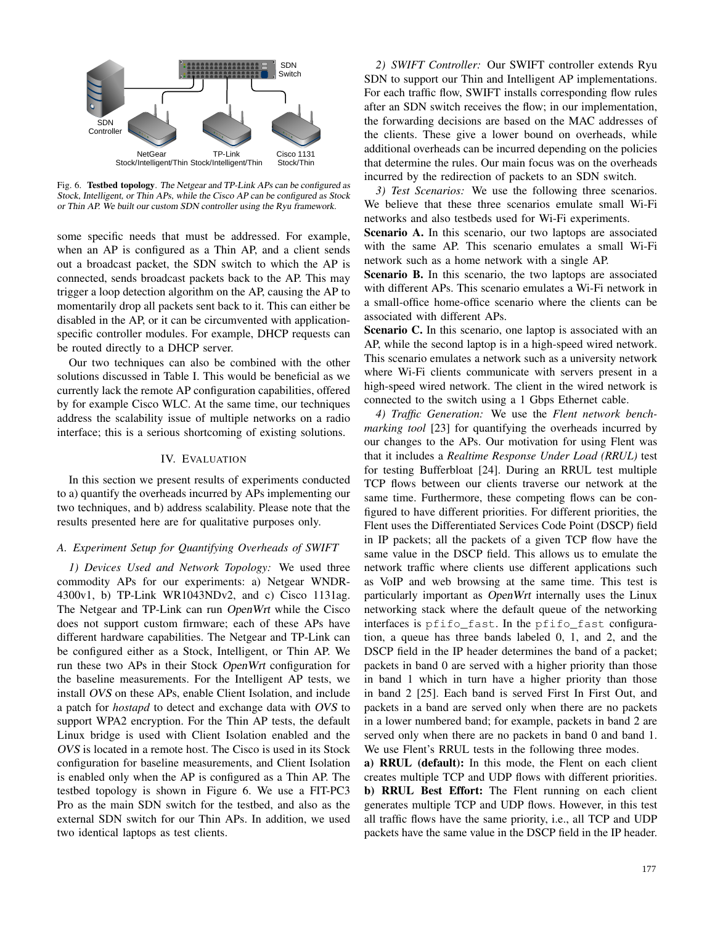

Fig. 6. Testbed topology. The Netgear and TP-Link APs can be configured as Stock, Intelligent, or Thin APs, while the Cisco AP can be configured as Stock or Thin AP. We built our custom SDN controller using the Ryu framework.

some specific needs that must be addressed. For example, when an AP is configured as a Thin AP, and a client sends out a broadcast packet, the SDN switch to which the AP is connected, sends broadcast packets back to the AP. This may trigger a loop detection algorithm on the AP, causing the AP to momentarily drop all packets sent back to it. This can either be disabled in the AP, or it can be circumvented with applicationspecific controller modules. For example, DHCP requests can be routed directly to a DHCP server.

Our two techniques can also be combined with the other solutions discussed in Table I. This would be beneficial as we currently lack the remote AP configuration capabilities, offered by for example Cisco WLC. At the same time, our techniques address the scalability issue of multiple networks on a radio interface; this is a serious shortcoming of existing solutions.

#### IV. EVALUATION

In this section we present results of experiments conducted to a) quantify the overheads incurred by APs implementing our two techniques, and b) address scalability. Please note that the results presented here are for qualitative purposes only.

## *A. Experiment Setup for Quantifying Overheads of SWIFT*

*1) Devices Used and Network Topology:* We used three commodity APs for our experiments: a) Netgear WNDR-4300v1, b) TP-Link WR1043NDv2, and c) Cisco 1131ag. The Netgear and TP-Link can run OpenWrt while the Cisco does not support custom firmware; each of these APs have different hardware capabilities. The Netgear and TP-Link can be configured either as a Stock, Intelligent, or Thin AP. We run these two APs in their Stock OpenWrt configuration for the baseline measurements. For the Intelligent AP tests, we install OVS on these APs, enable Client Isolation, and include a patch for *hostapd* to detect and exchange data with OVS to support WPA2 encryption. For the Thin AP tests, the default Linux bridge is used with Client Isolation enabled and the OVS is located in a remote host. The Cisco is used in its Stock configuration for baseline measurements, and Client Isolation is enabled only when the AP is configured as a Thin AP. The testbed topology is shown in Figure 6. We use a FIT-PC3 Pro as the main SDN switch for the testbed, and also as the external SDN switch for our Thin APs. In addition, we used two identical laptops as test clients.

*2) SWIFT Controller:* Our SWIFT controller extends Ryu SDN to support our Thin and Intelligent AP implementations. For each traffic flow, SWIFT installs corresponding flow rules after an SDN switch receives the flow; in our implementation, the forwarding decisions are based on the MAC addresses of the clients. These give a lower bound on overheads, while additional overheads can be incurred depending on the policies that determine the rules. Our main focus was on the overheads incurred by the redirection of packets to an SDN switch.

*3) Test Scenarios:* We use the following three scenarios. We believe that these three scenarios emulate small Wi-Fi networks and also testbeds used for Wi-Fi experiments.

Scenario A. In this scenario, our two laptops are associated with the same AP. This scenario emulates a small Wi-Fi network such as a home network with a single AP.

Scenario B. In this scenario, the two laptops are associated with different APs. This scenario emulates a Wi-Fi network in a small-office home-office scenario where the clients can be associated with different APs.

Scenario C. In this scenario, one laptop is associated with an AP, while the second laptop is in a high-speed wired network. This scenario emulates a network such as a university network where Wi-Fi clients communicate with servers present in a high-speed wired network. The client in the wired network is connected to the switch using a 1 Gbps Ethernet cable.

*4) Traffic Generation:* We use the *Flent network benchmarking tool* [23] for quantifying the overheads incurred by our changes to the APs. Our motivation for using Flent was that it includes a *Realtime Response Under Load (RRUL)* test for testing Bufferbloat [24]. During an RRUL test multiple TCP flows between our clients traverse our network at the same time. Furthermore, these competing flows can be configured to have different priorities. For different priorities, the Flent uses the Differentiated Services Code Point (DSCP) field in IP packets; all the packets of a given TCP flow have the same value in the DSCP field. This allows us to emulate the network traffic where clients use different applications such as VoIP and web browsing at the same time. This test is particularly important as OpenWrt internally uses the Linux networking stack where the default queue of the networking interfaces is pfifo\_fast. In the pfifo\_fast configuration, a queue has three bands labeled 0, 1, and 2, and the DSCP field in the IP header determines the band of a packet; packets in band 0 are served with a higher priority than those in band 1 which in turn have a higher priority than those in band 2 [25]. Each band is served First In First Out, and packets in a band are served only when there are no packets in a lower numbered band; for example, packets in band 2 are served only when there are no packets in band 0 and band 1. We use Flent's RRUL tests in the following three modes.

a) RRUL (default): In this mode, the Flent on each client creates multiple TCP and UDP flows with different priorities. b) RRUL Best Effort: The Flent running on each client generates multiple TCP and UDP flows. However, in this test all traffic flows have the same priority, i.e., all TCP and UDP packets have the same value in the DSCP field in the IP header.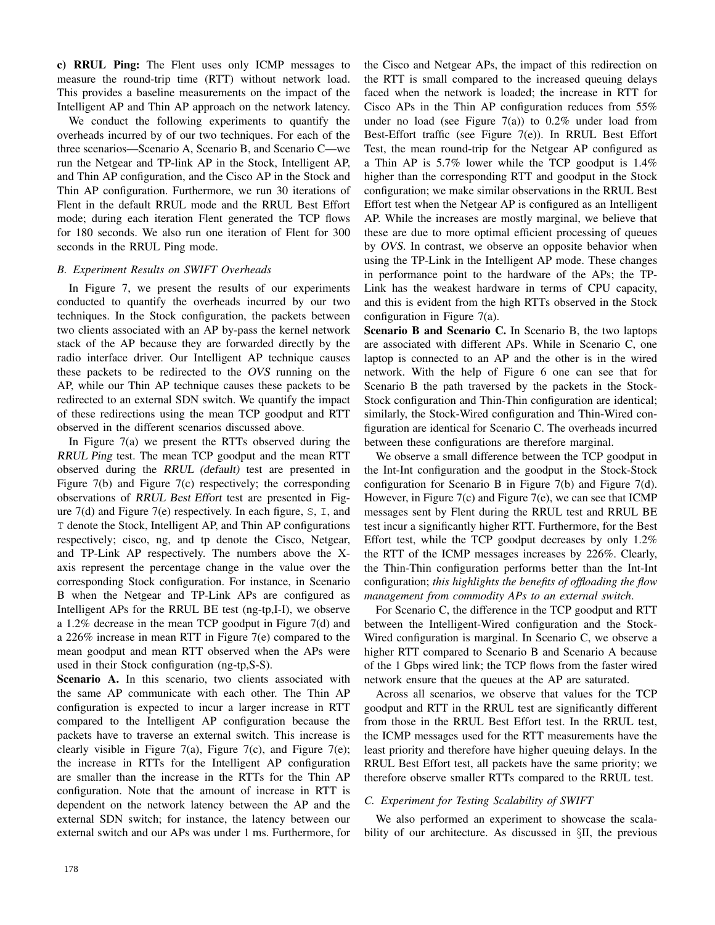c) RRUL Ping: The Flent uses only ICMP messages to measure the round-trip time (RTT) without network load. This provides a baseline measurements on the impact of the Intelligent AP and Thin AP approach on the network latency.

We conduct the following experiments to quantify the overheads incurred by of our two techniques. For each of the three scenarios—Scenario A, Scenario B, and Scenario C—we run the Netgear and TP-link AP in the Stock, Intelligent AP, and Thin AP configuration, and the Cisco AP in the Stock and Thin AP configuration. Furthermore, we run 30 iterations of Flent in the default RRUL mode and the RRUL Best Effort mode; during each iteration Flent generated the TCP flows for 180 seconds. We also run one iteration of Flent for 300 seconds in the RRUL Ping mode.

# *B. Experiment Results on SWIFT Overheads*

In Figure 7, we present the results of our experiments conducted to quantify the overheads incurred by our two techniques. In the Stock configuration, the packets between two clients associated with an AP by-pass the kernel network stack of the AP because they are forwarded directly by the radio interface driver. Our Intelligent AP technique causes these packets to be redirected to the OVS running on the AP, while our Thin AP technique causes these packets to be redirected to an external SDN switch. We quantify the impact of these redirections using the mean TCP goodput and RTT observed in the different scenarios discussed above.

In Figure  $7(a)$  we present the RTTs observed during the RRUL Ping test. The mean TCP goodput and the mean RTT observed during the RRUL (default) test are presented in Figure 7(b) and Figure 7(c) respectively; the corresponding observations of RRUL Best Effort test are presented in Figure  $7(d)$  and Figure  $7(e)$  respectively. In each figure, S, I, and T denote the Stock, Intelligent AP, and Thin AP configurations respectively; cisco, ng, and tp denote the Cisco, Netgear, and TP-Link AP respectively. The numbers above the Xaxis represent the percentage change in the value over the corresponding Stock configuration. For instance, in Scenario B when the Netgear and TP-Link APs are configured as Intelligent APs for the RRUL BE test (ng-tp,I-I), we observe a 1.2% decrease in the mean TCP goodput in Figure 7(d) and a 226% increase in mean RTT in Figure 7(e) compared to the mean goodput and mean RTT observed when the APs were used in their Stock configuration (ng-tp,S-S).

Scenario A. In this scenario, two clients associated with the same AP communicate with each other. The Thin AP configuration is expected to incur a larger increase in RTT compared to the Intelligent AP configuration because the packets have to traverse an external switch. This increase is clearly visible in Figure 7(a), Figure 7(c), and Figure 7(e); the increase in RTTs for the Intelligent AP configuration are smaller than the increase in the RTTs for the Thin AP configuration. Note that the amount of increase in RTT is dependent on the network latency between the AP and the external SDN switch; for instance, the latency between our external switch and our APs was under 1 ms. Furthermore, for the Cisco and Netgear APs, the impact of this redirection on the RTT is small compared to the increased queuing delays faced when the network is loaded; the increase in RTT for Cisco APs in the Thin AP configuration reduces from 55% under no load (see Figure  $7(a)$ ) to 0.2% under load from Best-Effort traffic (see Figure 7(e)). In RRUL Best Effort Test, the mean round-trip for the Netgear AP configured as a Thin AP is 5.7% lower while the TCP goodput is 1.4% higher than the corresponding RTT and goodput in the Stock configuration; we make similar observations in the RRUL Best Effort test when the Netgear AP is configured as an Intelligent AP. While the increases are mostly marginal, we believe that these are due to more optimal efficient processing of queues by OVS. In contrast, we observe an opposite behavior when using the TP-Link in the Intelligent AP mode. These changes in performance point to the hardware of the APs; the TP-Link has the weakest hardware in terms of CPU capacity, and this is evident from the high RTTs observed in the Stock configuration in Figure 7(a).

Scenario B and Scenario C. In Scenario B, the two laptops are associated with different APs. While in Scenario C, one laptop is connected to an AP and the other is in the wired network. With the help of Figure 6 one can see that for Scenario B the path traversed by the packets in the Stock-Stock configuration and Thin-Thin configuration are identical; similarly, the Stock-Wired configuration and Thin-Wired configuration are identical for Scenario C. The overheads incurred between these configurations are therefore marginal.

We observe a small difference between the TCP goodput in the Int-Int configuration and the goodput in the Stock-Stock configuration for Scenario B in Figure 7(b) and Figure 7(d). However, in Figure 7(c) and Figure 7(e), we can see that ICMP messages sent by Flent during the RRUL test and RRUL BE test incur a significantly higher RTT. Furthermore, for the Best Effort test, while the TCP goodput decreases by only 1.2% the RTT of the ICMP messages increases by 226%. Clearly, the Thin-Thin configuration performs better than the Int-Int configuration; *this highlights the benefits of offloading the flow management from commodity APs to an external switch*.

For Scenario C, the difference in the TCP goodput and RTT between the Intelligent-Wired configuration and the Stock-Wired configuration is marginal. In Scenario C, we observe a higher RTT compared to Scenario B and Scenario A because of the 1 Gbps wired link; the TCP flows from the faster wired network ensure that the queues at the AP are saturated.

Across all scenarios, we observe that values for the TCP goodput and RTT in the RRUL test are significantly different from those in the RRUL Best Effort test. In the RRUL test, the ICMP messages used for the RTT measurements have the least priority and therefore have higher queuing delays. In the RRUL Best Effort test, all packets have the same priority; we therefore observe smaller RTTs compared to the RRUL test.

## *C. Experiment for Testing Scalability of SWIFT*

We also performed an experiment to showcase the scalability of our architecture. As discussed in §II, the previous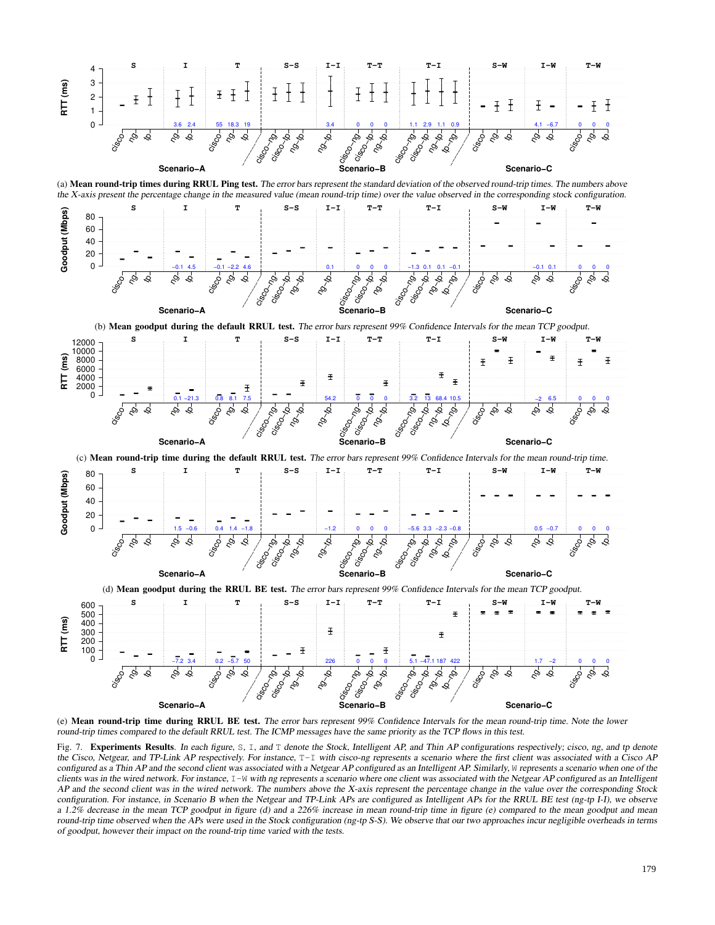





(e) Mean round-trip time during RRUL BE test. The error bars represent 99% Confidence Intervals for the mean round-trip time. Note the lower round-trip times compared to the default RRUL test. The ICMP messages have the same priority as the TCP flows in this test.

Fig. 7. Experiments Results. In each figure, S, I, and T denote the Stock, Intelligent AP, and Thin AP configurations respectively; cisco, ng, and tp denote the Cisco, Netgear, and TP-Link AP respectively. For instance, T-I with cisco-ng represents a scenario where the first client was associated with a Cisco AP configured as a Thin AP and the second client was associated with a Netgear AP configured as an Intelligent AP. Similarly, W represents a scenario when one of the clients was in the wired network. For instance,  $I-W$  with ng represents a scenario where one client was associated with the Netgear AP configured as an Intelligent AP and the second client was in the wired network. The numbers above the X-axis represent the percentage change in the value over the corresponding Stock configuration. For instance, in Scenario B when the Netgear and TP-Link APs are configured as Intelligent APs for the RRUL BE test (ng-tp I-I), we observe a 1.2% decrease in the mean TCP goodput in figure (d) and a 226% increase in mean round-trip time in figure (e) compared to the mean goodput and mean round-trip time observed when the APs were used in the Stock configuration (ng-tp S-S). We observe that our two approaches incur negligible overheads in terms of goodput, however their impact on the round-trip time varied with the tests.